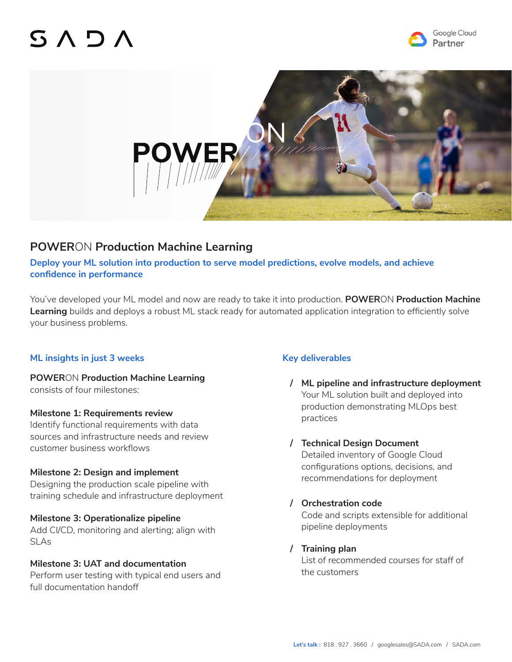## SADA





### **POWER**ON **Production Machine Learning**

**Deploy your ML solution into production to serve model predictions, evolve models, and achieve confidence in performance**

You've developed your ML model and now are ready to take it into production. **POWER**ON **Production Machine Learning** builds and deploys a robust ML stack ready for automated application integration to efficiently solve your business problems.

#### **ML insights in just 3 weeks**

**POWER**ON **Production Machine Learning**  consists of four milestones:

#### **Milestone 1: Requirements review**

Identify functional requirements with data sources and infrastructure needs and review customer business workflows

#### **Milestone 2: Design and implement**

Designing the production scale pipeline with training schedule and infrastructure deployment

#### **Milestone 3: Operationalize pipeline**

Add CI/CD, monitoring and alerting; align with SLAs

#### **Milestone 3: UAT and documentation**

Perform user testing with typical end users and full documentation handoff

#### **Key deliverables**

**/ ML pipeline and infrastructure deployment**  Your ML solution built and deployed into production demonstrating MLOps best practices

#### **/ Technical Design Document**

Detailed inventory of Google Cloud configurations options, decisions, and recommendations for deployment

#### **/ Orchestration code**

Code and scripts extensible for additional pipeline deployments

#### **/ Training plan**

List of recommended courses for staff of the customers